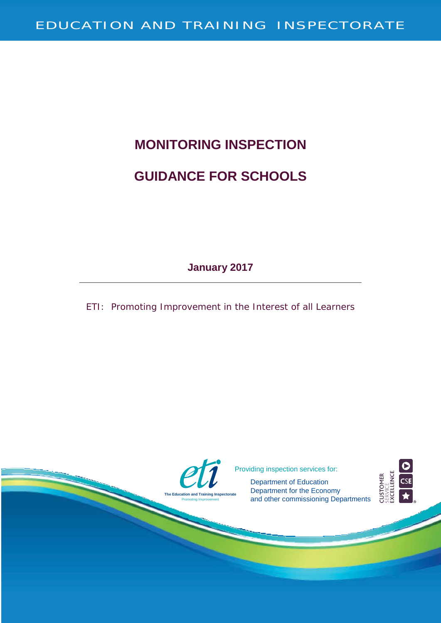# **MONITORING INSPECTION GUIDANCE FOR SCHOOLS**

**January 2017**

ETI: Promoting Improvement in the Interest of all Learners

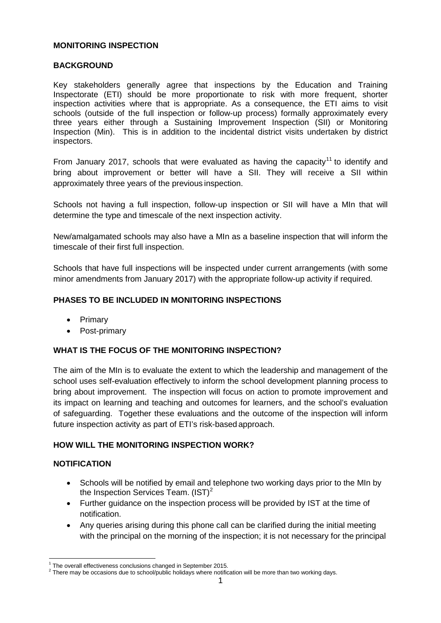#### **MONITORING INSPECTION**

#### **BACKGROUND**

Key stakeholders generally agree that inspections by the Education and Training Inspectorate (ETI) should be more proportionate to risk with more frequent, shorter inspection activities where that is appropriate. As a consequence, the ETI aims to visit schools (outside of the full inspection or follow-up process) formally approximately every three years either through a Sustaining Improvement Inspection (SII) or Monitoring Inspection (Min). This is in addition to the incidental district visits undertaken by district inspectors.

From January 20[1](#page-1-0)7, schools that were evaluated as having the capacity<sup>11</sup> to identify and bring about improvement or better will have a SII. They will receive a SII within approximately three years of the previous inspection.

Schools not having a full inspection, follow-up inspection or SII will have a MIn that will determine the type and timescale of the next inspection activity.

New/amalgamated schools may also have a MIn as a baseline inspection that will inform the timescale of their first full inspection.

Schools that have full inspections will be inspected under current arrangements (with some minor amendments from January 2017) with the appropriate follow-up activity if required.

#### **PHASES TO BE INCLUDED IN MONITORING INSPECTIONS**

- Primary
- Post-primary

#### **WHAT IS THE FOCUS OF THE MONITORING INSPECTION?**

The aim of the MIn is to evaluate the extent to which the leadership and management of the school uses self-evaluation effectively to inform the school development planning process to bring about improvement. The inspection will focus on action to promote improvement and its impact on learning and teaching and outcomes for learners, and the school's evaluation of safeguarding. Together these evaluations and the outcome of the inspection will inform future inspection activity as part of ETI's risk-based approach.

#### **HOW WILL THE MONITORING INSPECTION WORK?**

#### **NOTIFICATION**

- Schools will be notified by email and telephone two working days prior to the MIn by the Inspection Services Team.  $(\text{IST})^2$  $(\text{IST})^2$
- Further guidance on the inspection process will be provided by IST at the time of notification.
- <span id="page-1-0"></span>• Any queries arising during this phone call can be clarified during the initial meeting with the principal on the morning of the inspection; it is not necessary for the principal

 $1$  The overall effectiveness conclusions changed in September 2015.

<span id="page-1-2"></span><span id="page-1-1"></span><sup>&</sup>lt;sup>2</sup> There may be occasions due to school/public holidays where notification will be more than two working days.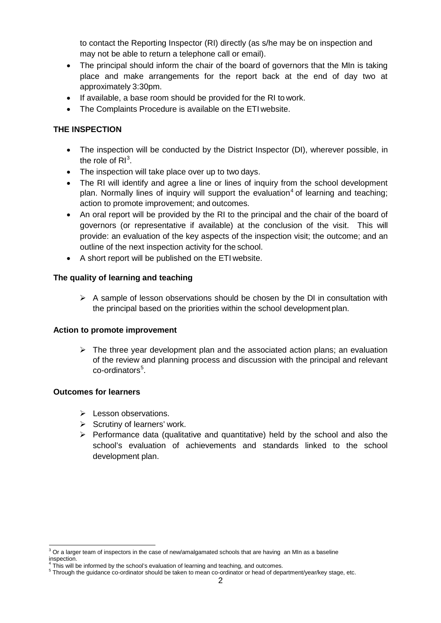to contact the Reporting Inspector (RI) directly (as s/he may be on inspection and may not be able to return a telephone call or email).

- The principal should inform the chair of the board of governors that the MIn is taking place and make arrangements for the report back at the end of day two at approximately 3:30pm.
- If available, a base room should be provided for the RI to work.
- The Complaints Procedure is available on the ETI website.

# **THE INSPECTION**

- The inspection will be conducted by the District Inspector (DI), wherever possible, in the role of  $RI^3$  $RI^3$ .
- The inspection will take place over up to two days.
- The RI will identify and agree a line or lines of inquiry from the school development plan. Normally lines of inquiry will support the evaluation<sup>[4](#page-2-1)</sup> of learning and teaching; action to promote improvement; and outcomes.
- An oral report will be provided by the RI to the principal and the chair of the board of governors (or representative if available) at the conclusion of the visit. This will provide: an evaluation of the key aspects of the inspection visit; the outcome; and an outline of the next inspection activity for the school.
- A short report will be published on the ETI website.

#### **The quality of learning and teaching**

 $\triangleright$  A sample of lesson observations should be chosen by the DI in consultation with the principal based on the priorities within the school development plan.

#### **Action to promote improvement**

 $\triangleright$  The three year development plan and the associated action plans; an evaluation of the review and planning process and discussion with the principal and relevant co-ordinators<sup>[5](#page-2-2)</sup>.

#### **Outcomes for learners**

- $\triangleright$  Lesson observations.
- $\triangleright$  Scrutiny of learners' work.
- $\triangleright$  Performance data (qualitative and quantitative) held by the school and also the school's evaluation of achievements and standards linked to the school development plan.

<span id="page-2-0"></span> $3$  Or a larger team of inspectors in the case of new/amalgamated schools that are having an MIn as a baseline inspection.

This will be informed by the school's evaluation of learning and teaching, and outcomes.

<span id="page-2-2"></span><span id="page-2-1"></span><sup>5</sup> Through the guidance co-ordinator should be taken to mean co-ordinator or head of department/year/key stage, etc.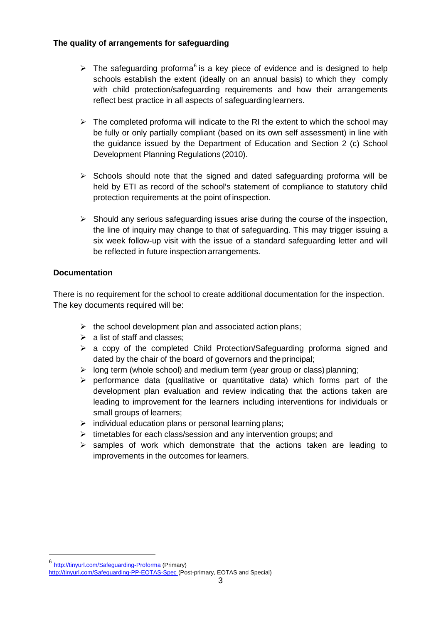# **The quality of arrangements for safeguarding**

- $\triangleright$  The safeguarding proforma<sup>[6](#page-3-0)</sup> is a key piece of evidence and is designed to help schools establish the extent (ideally on an annual basis) to which they comply with child protection/safeguarding requirements and how their arrangements reflect best practice in all aspects of safeguarding learners.
- $\triangleright$  The completed proforma will indicate to the RI the extent to which the school may be fully or only partially compliant (based on its own self assessment) in line with the guidance issued by the Department of Education and Section 2 (c) School Development Planning Regulations (2010).
- $\triangleright$  Schools should note that the signed and dated safeguarding proforma will be held by ETI as record of the school's statement of compliance to statutory child protection requirements at the point of inspection.
- $\triangleright$  Should any serious safeguarding issues arise during the course of the inspection, the line of inquiry may change to that of safeguarding. This may trigger issuing a six week follow-up visit with the issue of a standard safeguarding letter and will be reflected in future inspection arrangements.

# **Documentation**

There is no requirement for the school to create additional documentation for the inspection. The key documents required will be:

- $\triangleright$  the school development plan and associated action plans;
- $\geq$  a list of staff and classes:
- $\triangleright$  a copy of the completed Child Protection/Safeguarding proforma signed and dated by the chair of the board of governors and the principal;
- $\triangleright$  long term (whole school) and medium term (year group or class) planning;
- $\triangleright$  performance data (qualitative or quantitative data) which forms part of the development plan evaluation and review indicating that the actions taken are leading to improvement for the learners including interventions for individuals or small groups of learners;
- $\triangleright$  individual education plans or personal learning plans;
- $\triangleright$  timetables for each class/session and any intervention groups; and
- $\triangleright$  samples of work which demonstrate that the actions taken are leading to improvements in the outcomes for learners.

<span id="page-3-0"></span> <sup>6</sup> <http://tinyurl.com/Safeguarding-Proforma> (Primary)

<http://tinyurl.com/Safeguarding-PP-EOTAS-Spec> (Post-primary, EOTAS and Special)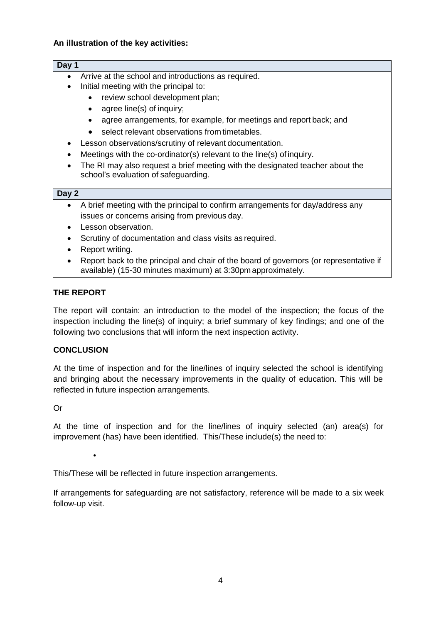# **An illustration of the key activities:**

#### **Day 1**

- Arrive at the school and introductions as required.
- Initial meeting with the principal to:
	- review school development plan;
	- agree line(s) of inquiry;
	- agree arrangements, for example, for meetings and report back; and
	- select relevant observations from timetables.
- Lesson observations/scrutiny of relevant documentation.
- Meetings with the co-ordinator(s) relevant to the line(s) of inquiry.
- The RI may also request a brief meeting with the designated teacher about the school's evaluation of safeguarding.

#### **Day 2**

- A brief meeting with the principal to confirm arrangements for day/address any issues or concerns arising from previous day.
- Lesson observation.
- Scrutiny of documentation and class visits as required.
- Report writing.
- Report back to the principal and chair of the board of governors (or representative if available) (15-30 minutes maximum) at 3:30pm approximately.

# **THE REPORT**

The report will contain: an introduction to the model of the inspection; the focus of the inspection including the line(s) of inquiry; a brief summary of key findings; and one of the following two conclusions that will inform the next inspection activity.

#### **CONCLUSION**

At the time of inspection and for the line/lines of inquiry selected the school is identifying and bringing about the necessary improvements in the quality of education. This will be reflected in future inspection arrangements.

Or

At the time of inspection and for the line/lines of inquiry selected (an) area(s) for improvement (has) have been identified. This/These include(s) the need to:

•

This/These will be reflected in future inspection arrangements.

If arrangements for safeguarding are not satisfactory, reference will be made to a six week follow-up visit.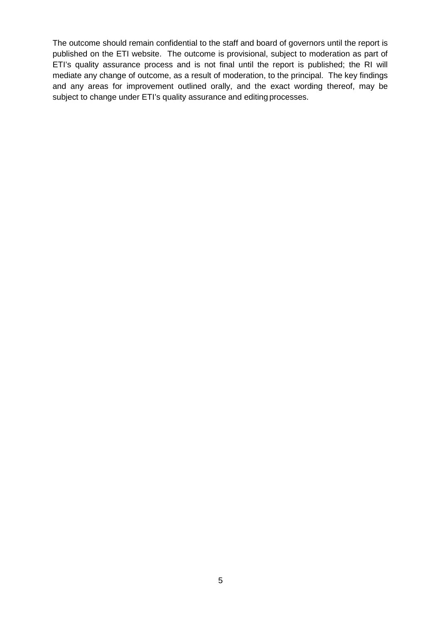The outcome should remain confidential to the staff and board of governors until the report is published on the ETI website. The outcome is provisional, subject to moderation as part of ETI's quality assurance process and is not final until the report is published; the RI will mediate any change of outcome, as a result of moderation, to the principal. The key findings and any areas for improvement outlined orally, and the exact wording thereof, may be subject to change under ETI's quality assurance and editing processes.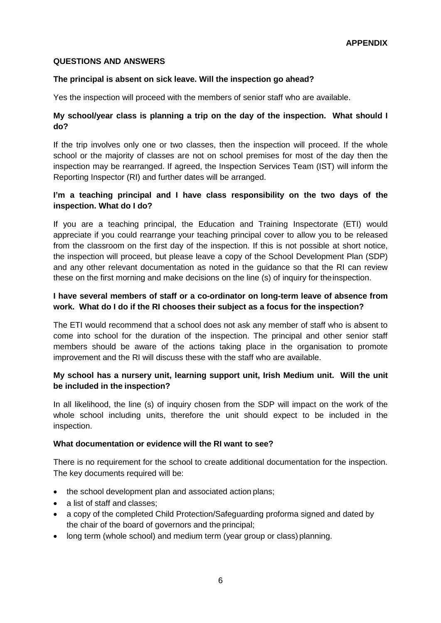#### **QUESTIONS AND ANSWERS**

#### **The principal is absent on sick leave. Will the inspection go ahead?**

Yes the inspection will proceed with the members of senior staff who are available.

# **My school/year class is planning a trip on the day of the inspection. What should I do?**

If the trip involves only one or two classes, then the inspection will proceed. If the whole school or the majority of classes are not on school premises for most of the day then the inspection may be rearranged. If agreed, the Inspection Services Team (IST) will inform the Reporting Inspector (RI) and further dates will be arranged.

# **I'm a teaching principal and I have class responsibility on the two days of the inspection. What do I do?**

If you are a teaching principal, the Education and Training Inspectorate (ETI) would appreciate if you could rearrange your teaching principal cover to allow you to be released from the classroom on the first day of the inspection. If this is not possible at short notice, the inspection will proceed, but please leave a copy of the School Development Plan (SDP) and any other relevant documentation as noted in the guidance so that the RI can review these on the first morning and make decisions on the line (s) of inquiry for theinspection.

# **I have several members of staff or a co-ordinator on long-term leave of absence from work. What do I do if the RI chooses their subject as a focus for the inspection?**

The ETI would recommend that a school does not ask any member of staff who is absent to come into school for the duration of the inspection. The principal and other senior staff members should be aware of the actions taking place in the organisation to promote improvement and the RI will discuss these with the staff who are available.

#### **My school has a nursery unit, learning support unit, Irish Medium unit. Will the unit be included in the inspection?**

In all likelihood, the line (s) of inquiry chosen from the SDP will impact on the work of the whole school including units, therefore the unit should expect to be included in the inspection.

#### **What documentation or evidence will the RI want to see?**

There is no requirement for the school to create additional documentation for the inspection. The key documents required will be:

- the school development plan and associated action plans;
- a list of staff and classes;
- a copy of the completed Child Protection/Safeguarding proforma signed and dated by the chair of the board of governors and the principal;
- long term (whole school) and medium term (year group or class) planning.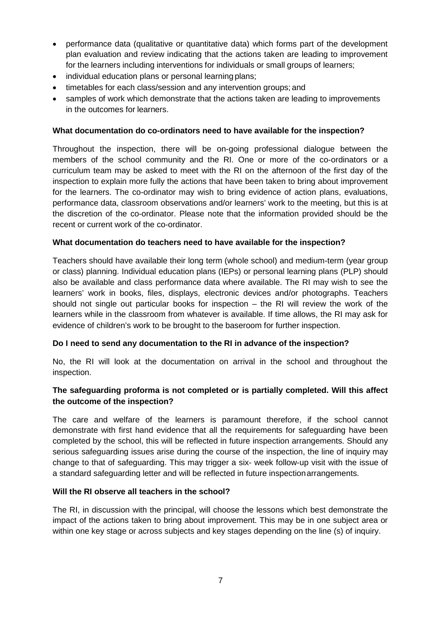- performance data (qualitative or quantitative data) which forms part of the development plan evaluation and review indicating that the actions taken are leading to improvement for the learners including interventions for individuals or small groups of learners;
- individual education plans or personal learning plans;
- timetables for each class/session and any intervention groups; and
- samples of work which demonstrate that the actions taken are leading to improvements in the outcomes for learners.

#### **What documentation do co-ordinators need to have available for the inspection?**

Throughout the inspection, there will be on-going professional dialogue between the members of the school community and the RI. One or more of the co-ordinators or a curriculum team may be asked to meet with the RI on the afternoon of the first day of the inspection to explain more fully the actions that have been taken to bring about improvement for the learners. The co-ordinator may wish to bring evidence of action plans, evaluations, performance data, classroom observations and/or learners' work to the meeting, but this is at the discretion of the co-ordinator. Please note that the information provided should be the recent or current work of the co-ordinator.

#### **What documentation do teachers need to have available for the inspection?**

Teachers should have available their long term (whole school) and medium-term (year group or class) planning. Individual education plans (IEPs) or personal learning plans (PLP) should also be available and class performance data where available. The RI may wish to see the learners' work in books, files, displays, electronic devices and/or photographs. Teachers should not single out particular books for inspection – the RI will review the work of the learners while in the classroom from whatever is available. If time allows, the RI may ask for evidence of children's work to be brought to the baseroom for further inspection.

#### **Do I need to send any documentation to the RI in advance of the inspection?**

No, the RI will look at the documentation on arrival in the school and throughout the inspection.

# **The safeguarding proforma is not completed or is partially completed. Will this affect the outcome of the inspection?**

The care and welfare of the learners is paramount therefore, if the school cannot demonstrate with first hand evidence that all the requirements for safeguarding have been completed by the school, this will be reflected in future inspection arrangements. Should any serious safeguarding issues arise during the course of the inspection, the line of inquiry may change to that of safeguarding. This may trigger a six- week follow-up visit with the issue of a standard safeguarding letter and will be reflected in future inspectionarrangements.

#### **Will the RI observe all teachers in the school?**

The RI, in discussion with the principal, will choose the lessons which best demonstrate the impact of the actions taken to bring about improvement. This may be in one subject area or within one key stage or across subjects and key stages depending on the line (s) of inquiry.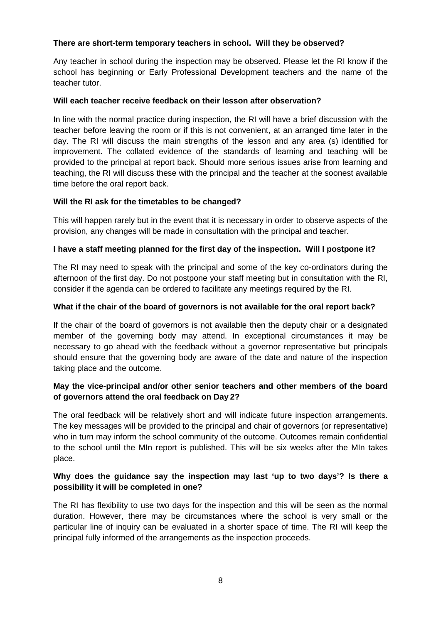#### **There are short-term temporary teachers in school. Will they be observed?**

Any teacher in school during the inspection may be observed. Please let the RI know if the school has beginning or Early Professional Development teachers and the name of the teacher tutor.

# **Will each teacher receive feedback on their lesson after observation?**

In line with the normal practice during inspection, the RI will have a brief discussion with the teacher before leaving the room or if this is not convenient, at an arranged time later in the day. The RI will discuss the main strengths of the lesson and any area (s) identified for improvement. The collated evidence of the standards of learning and teaching will be provided to the principal at report back. Should more serious issues arise from learning and teaching, the RI will discuss these with the principal and the teacher at the soonest available time before the oral report back.

# **Will the RI ask for the timetables to be changed?**

This will happen rarely but in the event that it is necessary in order to observe aspects of the provision, any changes will be made in consultation with the principal and teacher.

# **I have a staff meeting planned for the first day of the inspection. Will I postpone it?**

The RI may need to speak with the principal and some of the key co-ordinators during the afternoon of the first day. Do not postpone your staff meeting but in consultation with the RI, consider if the agenda can be ordered to facilitate any meetings required by the RI.

# **What if the chair of the board of governors is not available for the oral report back?**

If the chair of the board of governors is not available then the deputy chair or a designated member of the governing body may attend. In exceptional circumstances it may be necessary to go ahead with the feedback without a governor representative but principals should ensure that the governing body are aware of the date and nature of the inspection taking place and the outcome.

# **May the vice-principal and/or other senior teachers and other members of the board of governors attend the oral feedback on Day 2?**

The oral feedback will be relatively short and will indicate future inspection arrangements. The key messages will be provided to the principal and chair of governors (or representative) who in turn may inform the school community of the outcome. Outcomes remain confidential to the school until the MIn report is published. This will be six weeks after the MIn takes place.

# **Why does the guidance say the inspection may last 'up to two days'? Is there a possibility it will be completed in one?**

The RI has flexibility to use two days for the inspection and this will be seen as the normal duration. However, there may be circumstances where the school is very small or the particular line of inquiry can be evaluated in a shorter space of time. The RI will keep the principal fully informed of the arrangements as the inspection proceeds.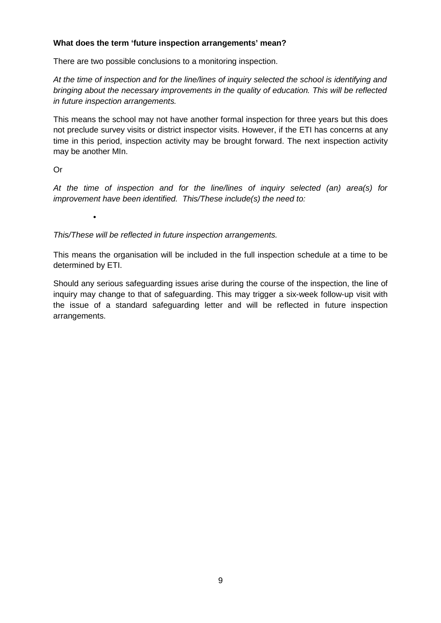### **What does the term 'future inspection arrangements' mean?**

There are two possible conclusions to a monitoring inspection.

*At the time of inspection and for the line/lines of inquiry selected the school is identifying and bringing about the necessary improvements in the quality of education. This will be reflected in future inspection arrangements.*

This means the school may not have another formal inspection for three years but this does not preclude survey visits or district inspector visits. However, if the ETI has concerns at any time in this period, inspection activity may be brought forward. The next inspection activity may be another MIn.

# Or

*At the time of inspection and for the line/lines of inquiry selected (an) area(s) for improvement have been identified. This/These include(s) the need to:*

•

*This/These will be reflected in future inspection arrangements.*

This means the organisation will be included in the full inspection schedule at a time to be determined by ETI.

Should any serious safeguarding issues arise during the course of the inspection, the line of inquiry may change to that of safeguarding. This may trigger a six-week follow-up visit with the issue of a standard safeguarding letter and will be reflected in future inspection arrangements.